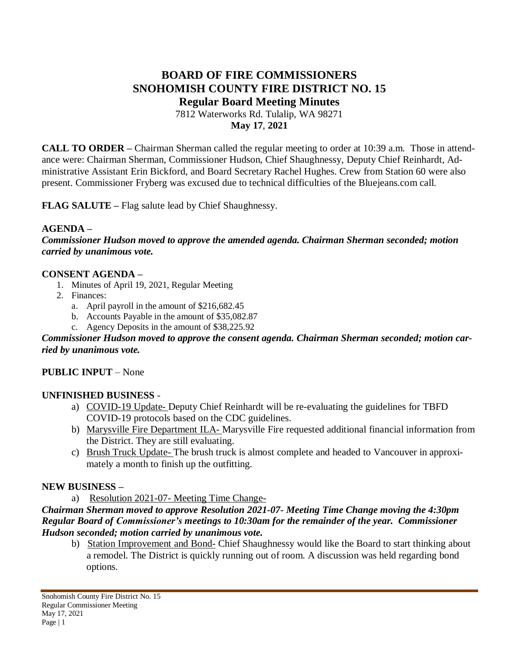# **BOARD OF FIRE COMMISSIONERS SNOHOMISH COUNTY FIRE DISTRICT NO. 15 Regular Board Meeting Minutes**

7812 Waterworks Rd. Tulalip, WA 98271 **May 17**, **2021**

**CALL TO ORDER –** Chairman Sherman called the regular meeting to order at 10:39 a.m. Those in attendance were: Chairman Sherman, Commissioner Hudson, Chief Shaughnessy, Deputy Chief Reinhardt, Administrative Assistant Erin Bickford, and Board Secretary Rachel Hughes. Crew from Station 60 were also present. Commissioner Fryberg was excused due to technical difficulties of the Bluejeans.com call.

**FLAG SALUTE –** Flag salute lead by Chief Shaughnessy.

#### **AGENDA –**

*Commissioner Hudson moved to approve the amended agenda. Chairman Sherman seconded; motion carried by unanimous vote.*

#### **CONSENT AGENDA –**

- 1. Minutes of April 19, 2021, Regular Meeting
- 2. Finances:
	- a. April payroll in the amount of \$216,682.45
	- b. Accounts Payable in the amount of \$35,082.87
	- c. Agency Deposits in the amount of \$38,225.92

#### *Commissioner Hudson moved to approve the consent agenda. Chairman Sherman seconded; motion carried by unanimous vote.*

#### **PUBLIC INPUT** – None

#### **UNFINISHED BUSINESS** -

- a) COVID-19 Update- Deputy Chief Reinhardt will be re-evaluating the guidelines for TBFD COVID-19 protocols based on the CDC guidelines.
- b) Marysville Fire Department ILA- Marysville Fire requested additional financial information from the District. They are still evaluating.
- c) Brush Truck Update- The brush truck is almost complete and headed to Vancouver in approximately a month to finish up the outfitting.

#### **NEW BUSINESS –**

a) Resolution 2021-07- Meeting Time Change-

#### *Chairman Sherman moved to approve Resolution 2021-07- Meeting Time Change moving the 4:30pm Regular Board of Commissioner's meetings to 10:30am for the remainder of the year. Commissioner Hudson seconded; motion carried by unanimous vote.*

b) Station Improvement and Bond- Chief Shaughnessy would like the Board to start thinking about a remodel. The District is quickly running out of room. A discussion was held regarding bond options.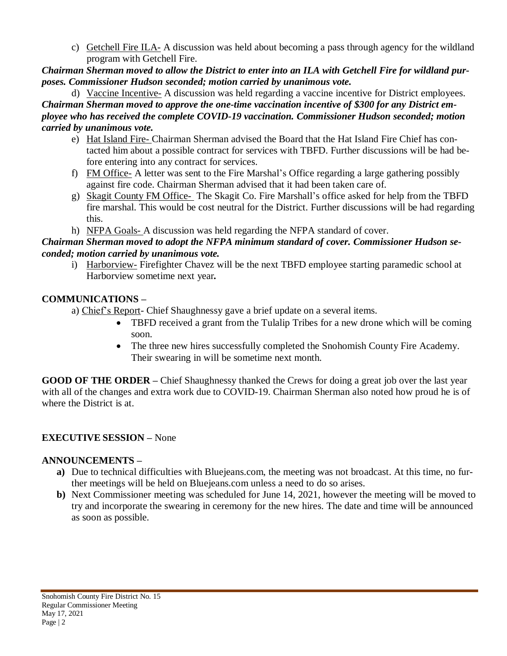c) Getchell Fire ILA- A discussion was held about becoming a pass through agency for the wildland program with Getchell Fire.

Chairman Sherman moved to allow the District to enter into an ILA with Getchell Fire for wildland pur*poses. Commissioner Hudson seconded; motion carried by unanimous vote.*

d) Vaccine Incentive- A discussion was held regarding a vaccine incentive for District employees. *Chairman Sherman moved to approve the one-time vaccination incentive of \$300 for any District employee who has received the complete COVID-19 vaccination. Commissioner Hudson seconded; motion carried by unanimous vote.*

- e) Hat Island Fire- Chairman Sherman advised the Board that the Hat Island Fire Chief has contacted him about a possible contract for services with TBFD. Further discussions will be had before entering into any contract for services.
- f) FM Office- A letter was sent to the Fire Marshal's Office regarding a large gathering possibly against fire code. Chairman Sherman advised that it had been taken care of.
- g) Skagit County FM Office- The Skagit Co. Fire Marshall's office asked for help from the TBFD fire marshal. This would be cost neutral for the District. Further discussions will be had regarding this.
- h) NFPA Goals- A discussion was held regarding the NFPA standard of cover.

### *Chairman Sherman moved to adopt the NFPA minimum standard of cover. Commissioner Hudson seconded; motion carried by unanimous vote.*

i) Harborview- Firefighter Chavez will be the next TBFD employee starting paramedic school at Harborview sometime next year*.*

### **COMMUNICATIONS –**

a) Chief's Report- Chief Shaughnessy gave a brief update on a several items.

- TBFD received a grant from the Tulalip Tribes for a new drone which will be coming soon.
- The three new hires successfully completed the Snohomish County Fire Academy. Their swearing in will be sometime next month.

**GOOD OF THE ORDER –** Chief Shaughnessy thanked the Crews for doing a great job over the last year with all of the changes and extra work due to COVID-19. Chairman Sherman also noted how proud he is of where the District is at.

## **EXECUTIVE SESSION –** None

### **ANNOUNCEMENTS –**

- **a)** Due to technical difficulties with Bluejeans.com, the meeting was not broadcast. At this time, no further meetings will be held on Bluejeans.com unless a need to do so arises.
- **b)** Next Commissioner meeting was scheduled for June 14, 2021, however the meeting will be moved to try and incorporate the swearing in ceremony for the new hires. The date and time will be announced as soon as possible.